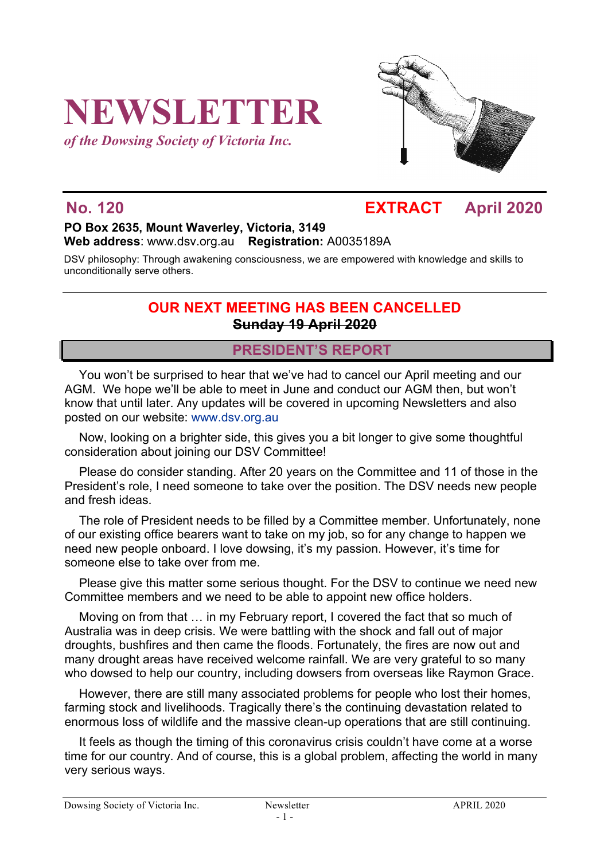# **NEWSLETTER**

*of the Dowsing Society of Victoria Inc.*



## **No. 120 EXTRACT April 2020**

#### **PO Box 2635, Mount Waverley, Victoria, 3149 Web address**: www.dsv.org.au **Registration:** A0035189A

DSV philosophy: Through awakening consciousness, we are empowered with knowledge and skills to unconditionally serve others.

#### **OUR NEXT MEETING HAS BEEN CANCELLED Sunday 19 April 2020**

#### **PRESIDENT'S REPORT**

You won't be surprised to hear that we've had to cancel our April meeting and our AGM. We hope we'll be able to meet in June and conduct our AGM then, but won't know that until later. Any updates will be covered in upcoming Newsletters and also posted on our website: www.dsv.org.au

Now, looking on a brighter side, this gives you a bit longer to give some thoughtful consideration about joining our DSV Committee!

Please do consider standing. After 20 years on the Committee and 11 of those in the President's role, I need someone to take over the position. The DSV needs new people and fresh ideas.

The role of President needs to be filled by a Committee member. Unfortunately, none of our existing office bearers want to take on my job, so for any change to happen we need new people onboard. I love dowsing, it's my passion. However, it's time for someone else to take over from me.

Please give this matter some serious thought. For the DSV to continue we need new Committee members and we need to be able to appoint new office holders.

Moving on from that … in my February report, I covered the fact that so much of Australia was in deep crisis. We were battling with the shock and fall out of major droughts, bushfires and then came the floods. Fortunately, the fires are now out and many drought areas have received welcome rainfall. We are very grateful to so many who dowsed to help our country, including dowsers from overseas like Raymon Grace.

However, there are still many associated problems for people who lost their homes, farming stock and livelihoods. Tragically there's the continuing devastation related to enormous loss of wildlife and the massive clean-up operations that are still continuing.

It feels as though the timing of this coronavirus crisis couldn't have come at a worse time for our country. And of course, this is a global problem, affecting the world in many very serious ways.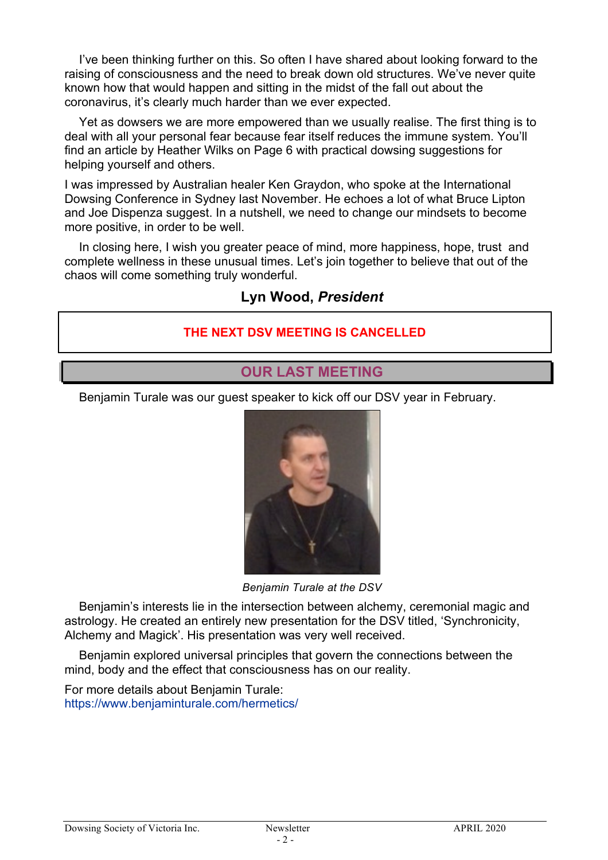I've been thinking further on this. So often I have shared about looking forward to the raising of consciousness and the need to break down old structures. We've never quite known how that would happen and sitting in the midst of the fall out about the coronavirus, it's clearly much harder than we ever expected.

Yet as dowsers we are more empowered than we usually realise. The first thing is to deal with all your personal fear because fear itself reduces the immune system. You'll find an article by Heather Wilks on Page 6 with practical dowsing suggestions for helping yourself and others.

I was impressed by Australian healer Ken Graydon, who spoke at the International Dowsing Conference in Sydney last November. He echoes a lot of what Bruce Lipton and Joe Dispenza suggest. In a nutshell, we need to change our mindsets to become more positive, in order to be well.

In closing here, I wish you greater peace of mind, more happiness, hope, trust and complete wellness in these unusual times. Let's join together to believe that out of the chaos will come something truly wonderful.

#### **Lyn Wood,** *President*

#### **THE NEXT DSV MEETING IS CANCELLED**

#### **OUR LAST MEETING**

Benjamin Turale was our guest speaker to kick off our DSV year in February.



*Benjamin Turale at the DSV*

Benjamin's interests lie in the intersection between alchemy, ceremonial magic and astrology. He created an entirely new presentation for the DSV titled, 'Synchronicity, Alchemy and Magick'. His presentation was very well received.

Benjamin explored universal principles that govern the connections between the mind, body and the effect that consciousness has on our reality.

For more details about Benjamin Turale: https://www.benjaminturale.com/hermetics/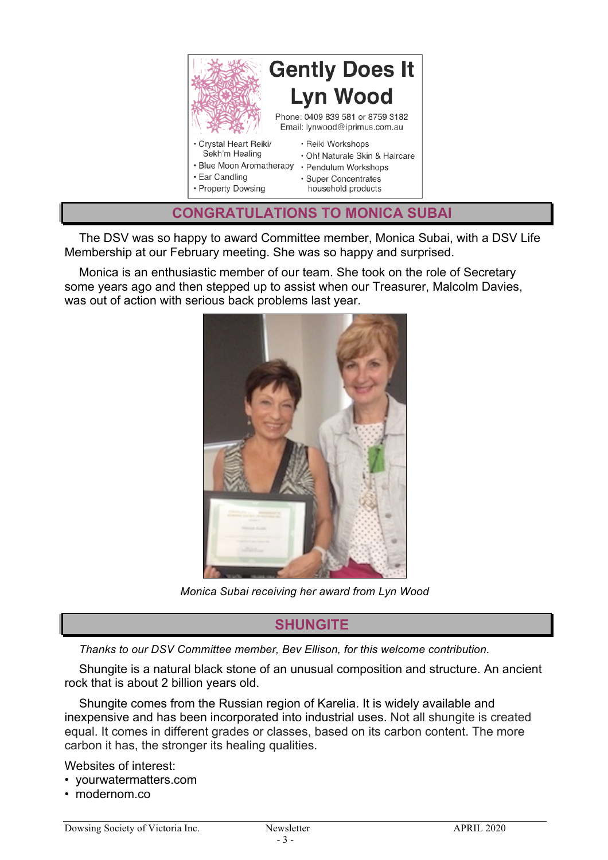

The DSV was so happy to award Committee member, Monica Subai, with a DSV Life Membership at our February meeting. She was so happy and surprised.

Monica is an enthusiastic member of our team. She took on the role of Secretary some years ago and then stepped up to assist when our Treasurer, Malcolm Davies, was out of action with serious back problems last year.



*Monica Subai receiving her award from Lyn Wood*

### **SHUNGITE**

*Thanks to our DSV Committee member, Bev Ellison, for this welcome contribution.* 

Shungite is a natural black stone of an unusual composition and structure. An ancient rock that is about 2 billion years old.

Shungite comes from the Russian region of Karelia. It is widely available and inexpensive and has been incorporated into industrial uses. Not all shungite is created equal. It comes in different grades or classes, based on its carbon content. The more carbon it has, the stronger its healing qualities.

Websites of interest:

- yourwatermatters.com
- modernom co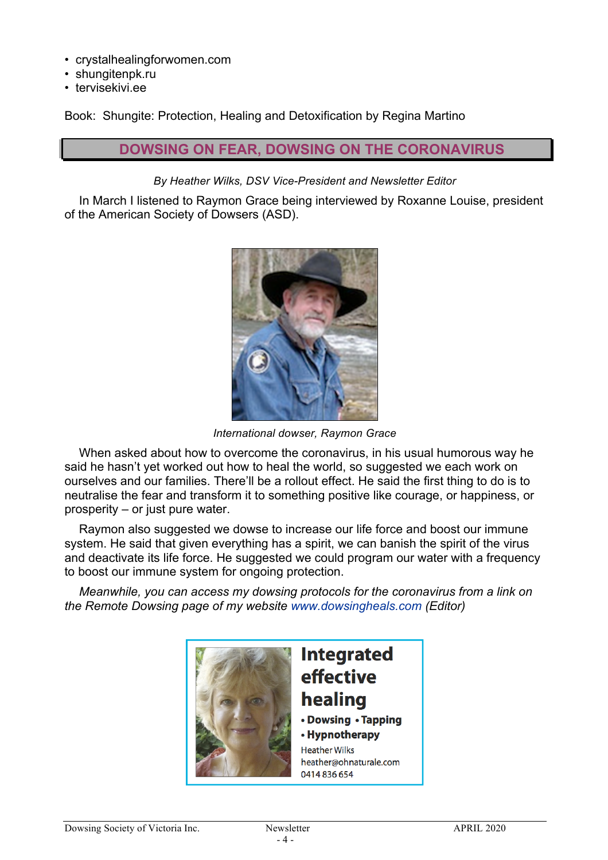- crystalhealingforwomen.com
- shungitenpk.ru
- tervisekivi.ee

Book: Shungite: Protection, Healing and Detoxification by Regina Martino

#### **DOWSING ON FEAR, DOWSING ON THE CORONAVIRUS**

#### *By Heather Wilks, DSV Vice-President and Newsletter Editor*

In March I listened to Raymon Grace being interviewed by Roxanne Louise, president of the American Society of Dowsers (ASD).



*International dowser, Raymon Grace*

When asked about how to overcome the coronavirus, in his usual humorous way he said he hasn't yet worked out how to heal the world, so suggested we each work on ourselves and our families. There'll be a rollout effect. He said the first thing to do is to neutralise the fear and transform it to something positive like courage, or happiness, or prosperity – or just pure water.

Raymon also suggested we dowse to increase our life force and boost our immune system. He said that given everything has a spirit, we can banish the spirit of the virus and deactivate its life force. He suggested we could program our water with a frequency to boost our immune system for ongoing protection.

*Meanwhile, you can access my dowsing protocols for the coronavirus from a link on the Remote Dowsing page of my website www.dowsingheals.com (Editor)*